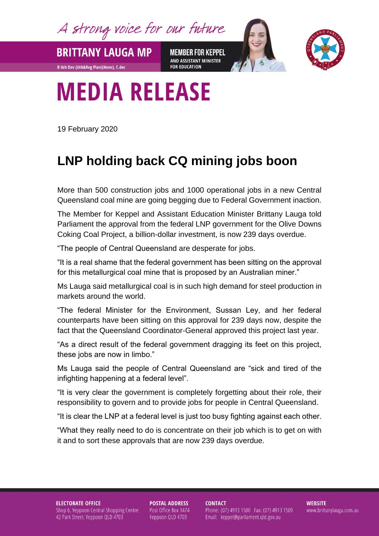A strong voice for our future

**MEMBER FOR KEPPEL** AND ASSISTANT MINISTER **FOR EDUCATION** 



## **MEDIA RELEASE**

19 February 2020

**BRITTANY LAUGA MP** 

**B Urb Dev (Urb&Reg Plan)(Hons), C.dec** 

## **LNP holding back CQ mining jobs boon**

More than 500 construction jobs and 1000 operational jobs in a new Central Queensland coal mine are going begging due to Federal Government inaction.

The Member for Keppel and Assistant Education Minister Brittany Lauga told Parliament the approval from the federal LNP government for the Olive Downs Coking Coal Project, a billion-dollar investment, is now 239 days overdue.

"The people of Central Queensland are desperate for jobs.

"It is a real shame that the federal government has been sitting on the approval for this metallurgical coal mine that is proposed by an Australian miner."

Ms Lauga said metallurgical coal is in such high demand for steel production in markets around the world.

"The federal Minister for the Environment, Sussan Ley, and her federal counterparts have been sitting on this approval for 239 days now, despite the fact that the Queensland Coordinator-General approved this project last year.

"As a direct result of the federal government dragging its feet on this project, these jobs are now in limbo."

Ms Lauga said the people of Central Queensland are "sick and tired of the infighting happening at a federal level".

"It is very clear the government is completely forgetting about their role, their responsibility to govern and to provide jobs for people in Central Queensland.

"It is clear the LNP at a federal level is just too busy fighting against each other.

"What they really need to do is concentrate on their job which is to get on with it and to sort these approvals that are now 239 days overdue.

**ELECTORATE OFFICE** Shop 6, Yeppoon Central Shopping Centre 42 Park Street, Yeppoon QLD 4703

**POSTAL ADDRESS** Post Office Box 1474 Yeppoon QLD 4703

**CONTACT** Phone: (07) 4913 1500 Fax: (07) 4913 1509 Email: keppel@parliament.qld.gov.au

**WEBSITE** www.brittanylauga.com.au